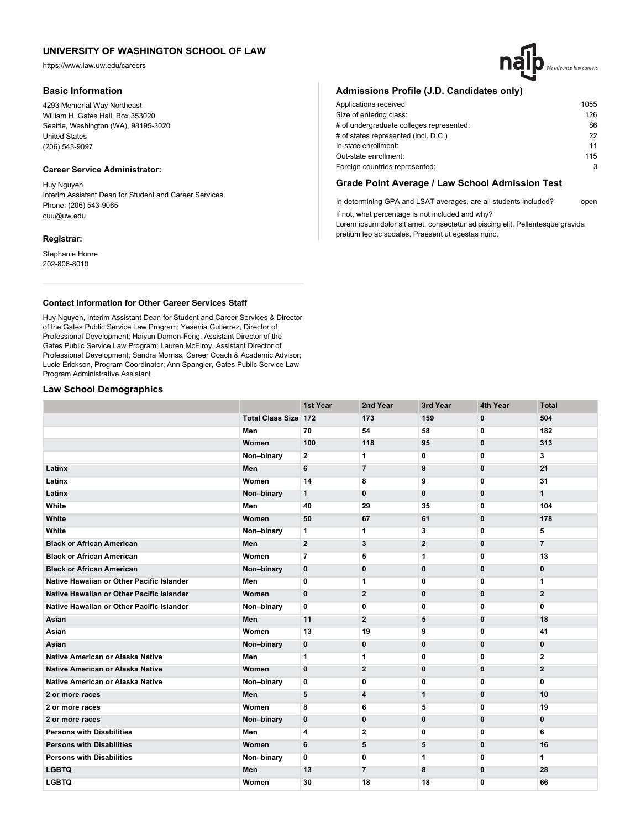https://www.law.uw.edu/careers

# **Basic Information**

4293 Memorial Way Northeast William H. Gates Hall, Box 353020 Seattle, Washington (WA), 98195-3020 United States (206) 543-9097

# **Career Service Administrator:**

Huy Nguyen Interim Assistant Dean for Student and Career Services Phone: (206) 543-9065 cuu@uw.edu

## **Registrar:**

Stephanie Horne 202-806-8010

# We advance law careers

# **Admissions Profile (J.D. Candidates only)**

| Applications received                    | 1055 |
|------------------------------------------|------|
| Size of entering class:                  | 126  |
| # of undergraduate colleges represented: | 86   |
| # of states represented (incl. D.C.)     | 22   |
| In-state enrollment:                     | 11   |
| Out-state enrollment:                    | 115  |
| Foreign countries represented:           | 3    |
|                                          |      |

# **Grade Point Average / Law School Admission Test**

In determining GPA and LSAT averages, are all students included? open If not, what percentage is not included and why?

Lorem ipsum dolor sit amet, consectetur adipiscing elit. Pellentesque gravida pretium leo ac sodales. Praesent ut egestas nunc.

# **Contact Information for Other Career Services Staff**

Huy Nguyen, Interim Assistant Dean for Student and Career Services & Director of the Gates Public Service Law Program; Yesenia Gutierrez, Director of Professional Development; Haiyun Damon-Feng, Assistant Director of the Gates Public Service Law Program; Lauren McElroy, Assistant Director of Professional Development; Sandra Morriss, Career Coach & Academic Advisor; Lucie Erickson, Program Coordinator; Ann Spangler, Gates Public Service Law Program Administrative Assistant

# **Law School Demographics**

|                                           |                             | 1st Year       | 2nd Year       | 3rd Year     | 4th Year    | <b>Total</b>   |
|-------------------------------------------|-----------------------------|----------------|----------------|--------------|-------------|----------------|
|                                           | <b>Total Class Size 172</b> |                | 173            | 159          | 0           | 504            |
|                                           | Men                         | 70             | 54             | 58           | 0           | 182            |
|                                           | Women                       | 100            | 118            | 95           | 0           | 313            |
|                                           | Non-binary                  | $\overline{2}$ | 1              | 0            | 0           | 3              |
| Latinx                                    | Men                         | 6              | $\overline{7}$ | 8            | 0           | 21             |
| Latinx                                    | Women                       | 14             | 8              | 9            | 0           | 31             |
| Latinx                                    | Non-binary                  | $\mathbf{1}$   | $\mathbf 0$    | $\mathbf 0$  | 0           | $\mathbf{1}$   |
| White                                     | Men                         | 40             | 29             | 35           | 0           | 104            |
| White                                     | Women                       | 50             | 67             | 61           | 0           | 178            |
| White                                     | Non-binary                  | 1              | 1              | 3            | 0           | 5              |
| <b>Black or African American</b>          | Men                         | $\overline{2}$ | 3              | $\mathbf{2}$ | 0           | $\overline{7}$ |
| <b>Black or African American</b>          | Women                       | $\overline{7}$ | 5              | 1            | 0           | 13             |
| <b>Black or African American</b>          | Non-binary                  | $\mathbf 0$    | $\mathbf 0$    | $\mathbf 0$  | $\mathbf 0$ | $\mathbf 0$    |
| Native Hawaiian or Other Pacific Islander | Men                         | 0              | 1              | 0            | 0           | 1              |
| Native Hawaiian or Other Pacific Islander | Women                       | $\mathbf{0}$   | $\overline{2}$ | $\mathbf{0}$ | $\bf{0}$    | $\overline{2}$ |
| Native Hawaiian or Other Pacific Islander | Non-binary                  | 0              | 0              | 0            | 0           | 0              |
| Asian                                     | Men                         | 11             | $\overline{2}$ | 5            | $\mathbf 0$ | 18             |
| Asian                                     | Women                       | 13             | 19             | 9            | 0           | 41             |
| Asian                                     | Non-binary                  | $\mathbf{0}$   | $\mathbf 0$    | $\mathbf{0}$ | $\bf{0}$    | $\mathbf 0$    |
| Native American or Alaska Native          | Men                         | 1              | 1              | 0            | 0           | $\mathbf{2}$   |
| <b>Native American or Alaska Native</b>   | Women                       | $\mathbf 0$    | $\overline{2}$ | $\mathbf{0}$ | $\bf{0}$    | $\overline{2}$ |
| Native American or Alaska Native          | Non-binary                  | 0              | 0              | 0            | 0           | $\mathbf 0$    |
| 2 or more races                           | Men                         | 5              | 4              | $\mathbf{1}$ | $\bf{0}$    | 10             |
| 2 or more races                           | Women                       | 8              | 6              | 5            | 0           | 19             |
| 2 or more races                           | Non-binary                  | $\mathbf 0$    | $\bf{0}$       | $\bf{0}$     | 0           | 0              |
| <b>Persons with Disabilities</b>          | Men                         | 4              | $\overline{2}$ | 0            | 0           | 6              |
| <b>Persons with Disabilities</b>          | Women                       | 6              | 5              | 5            | 0           | 16             |
| <b>Persons with Disabilities</b>          | Non-binary                  | $\mathbf 0$    | 0              | 1            | 0           | 1              |
| <b>LGBTQ</b>                              | Men                         | 13             | $\overline{7}$ | 8            | 0           | 28             |
| <b>LGBTQ</b>                              | Women                       | 30             | 18             | 18           | 0           | 66             |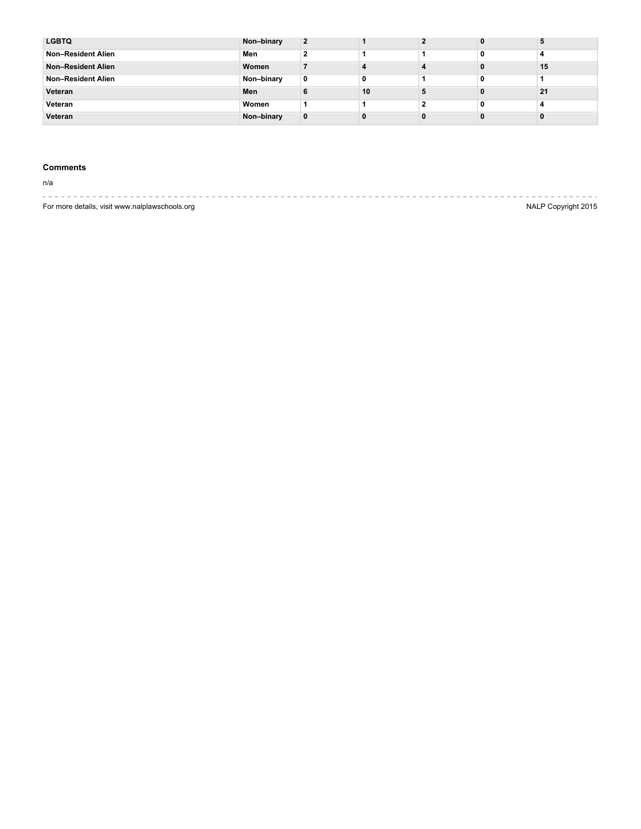| <b>LGBTQ</b>              | Non-binary | $\mathbf{2}$ |    | ,            | 0 |    |
|---------------------------|------------|--------------|----|--------------|---|----|
| Non-Resident Alien        | Men        | $\mathbf{2}$ |    |              | 0 | 4  |
| <b>Non-Resident Alien</b> | Women      |              |    |              | 0 | 15 |
| Non-Resident Alien        | Non-binary | 0            | 0  |              | 0 |    |
| Veteran                   | Men        |              | 10 |              |   | 21 |
| Veteran                   | Women      |              |    | $\mathbf{2}$ | 0 | 4  |
| Veteran                   | Non-binary | 0            |    |              | 0 | 0  |

# **Comments**

n/a

--------------------- $\sim$   $\sim$  $\frac{1}{2} \frac{1}{2} \frac{1}{2} \frac{1}{2} \frac{1}{2} \frac{1}{2} \frac{1}{2} \frac{1}{2} \frac{1}{2} \frac{1}{2} \frac{1}{2} \frac{1}{2} \frac{1}{2} \frac{1}{2} \frac{1}{2} \frac{1}{2} \frac{1}{2} \frac{1}{2} \frac{1}{2} \frac{1}{2} \frac{1}{2} \frac{1}{2} \frac{1}{2} \frac{1}{2} \frac{1}{2} \frac{1}{2} \frac{1}{2} \frac{1}{2} \frac{1}{2} \frac{1}{2} \frac{1}{2} \frac{$ ------------- $\alpha$  , and  $\alpha$  , and  $\alpha$  , and  $\alpha$ For more details, visit www.nalplawschools.org NALP Copyright 2015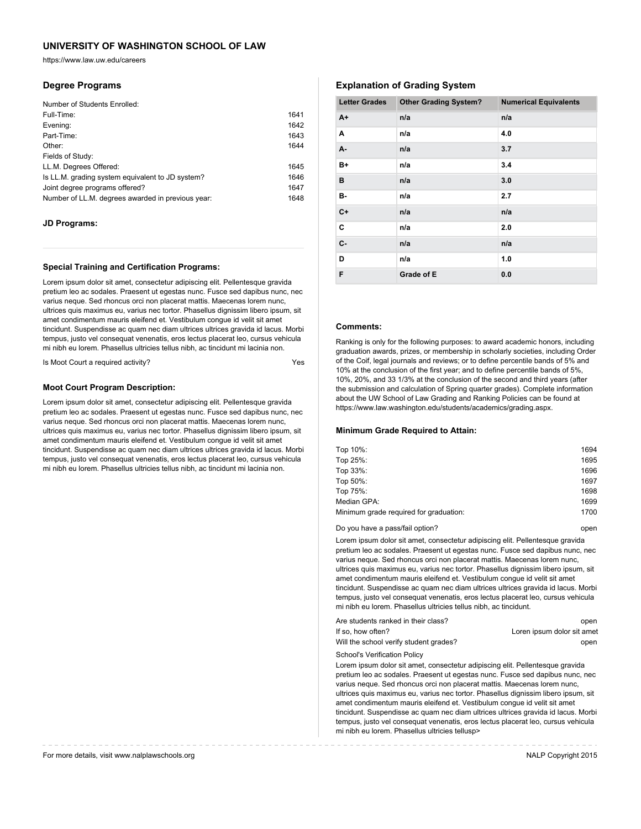https://www.law.uw.edu/careers

# **Degree Programs**

| Number of Students Enrolled:                      |      |
|---------------------------------------------------|------|
| Full-Time:                                        | 1641 |
| Evening:                                          | 1642 |
| Part-Time:                                        | 1643 |
| Other:                                            | 1644 |
| Fields of Study:                                  |      |
| LL.M. Degrees Offered:                            | 1645 |
| Is LL.M. grading system equivalent to JD system?  | 1646 |
| Joint degree programs offered?                    | 1647 |
| Number of LL.M. degrees awarded in previous year: | 1648 |

### **JD Programs:**

#### **Special Training and Certification Programs:**

Lorem ipsum dolor sit amet, consectetur adipiscing elit. Pellentesque gravida pretium leo ac sodales. Praesent ut egestas nunc. Fusce sed dapibus nunc, nec varius neque. Sed rhoncus orci non placerat mattis. Maecenas lorem nunc, ultrices quis maximus eu, varius nec tortor. Phasellus dignissim libero ipsum, sit amet condimentum mauris eleifend et. Vestibulum congue id velit sit amet tincidunt. Suspendisse ac quam nec diam ultrices ultrices gravida id lacus. Morbi tempus, justo vel consequat venenatis, eros lectus placerat leo, cursus vehicula mi nibh eu lorem. Phasellus ultricies tellus nibh, ac tincidunt mi lacinia non.

Is Moot Court a required activity?

#### **Moot Court Program Description:**

Lorem ipsum dolor sit amet, consectetur adipiscing elit. Pellentesque gravida pretium leo ac sodales. Praesent ut egestas nunc. Fusce sed dapibus nunc, nec varius neque. Sed rhoncus orci non placerat mattis. Maecenas lorem nunc, ultrices quis maximus eu, varius nec tortor. Phasellus dignissim libero ipsum, sit amet condimentum mauris eleifend et. Vestibulum congue id velit sit amet tincidunt. Suspendisse ac quam nec diam ultrices ultrices gravida id lacus. Morbi tempus, justo vel consequat venenatis, eros lectus placerat leo, cursus vehicula mi nibh eu lorem. Phasellus ultricies tellus nibh, ac tincidunt mi lacinia non.

# **Explanation of Grading System**

| <b>Letter Grades</b> | <b>Other Grading System?</b> | <b>Numerical Equivalents</b> |
|----------------------|------------------------------|------------------------------|
| $A+$                 | n/a                          | n/a                          |
| A                    | n/a                          | 4.0                          |
| А-                   | n/a                          | 3.7                          |
| B+                   | n/a                          | 3.4                          |
| в                    | n/a                          | 3.0                          |
| в-                   | n/a                          | 2.7                          |
| $C+$                 | n/a                          | n/a                          |
| C                    | n/a                          | 2.0                          |
| $C -$                | n/a                          | n/a                          |
| D                    | n/a                          | 1.0                          |
| F                    | Grade of E                   | 0.0                          |

# **Comments:**

Ranking is only for the following purposes: to award academic honors, including graduation awards, prizes, or membership in scholarly societies, including Order of the Coif, legal journals and reviews; or to define percentile bands of 5% and 10% at the conclusion of the first year; and to define percentile bands of 5%, 10%, 20%, and 33 1/3% at the conclusion of the second and third years (after the submission and calculation of Spring quarter grades). Complete information about the UW School of Law Grading and Ranking Policies can be found at https://www.law.washington.edu/students/academics/grading.aspx.

#### **Minimum Grade Required to Attain:**

| Top 10%:                               | 1694 |
|----------------------------------------|------|
| Top 25%:                               | 1695 |
| Top 33%:                               | 1696 |
| Top 50%:                               | 1697 |
| Top 75%:                               | 1698 |
| Median GPA:                            | 1699 |
| Minimum grade required for graduation: | 1700 |
|                                        |      |

Do you have a pass/fail option? Do you have a pass/fail option?

Lorem ipsum dolor sit amet, consectetur adipiscing elit. Pellentesque gravida pretium leo ac sodales. Praesent ut egestas nunc. Fusce sed dapibus nunc, nec varius neque. Sed rhoncus orci non placerat mattis. Maecenas lorem nunc, ultrices quis maximus eu, varius nec tortor. Phasellus dignissim libero ipsum, sit amet condimentum mauris eleifend et. Vestibulum congue id velit sit amet tincidunt. Suspendisse ac quam nec diam ultrices ultrices gravida id lacus. Morbi tempus, justo vel consequat venenatis, eros lectus placerat leo, cursus vehicula mi nibh eu lorem. Phasellus ultricies tellus nibh, ac tincidunt.

| Are students ranked in their class?    | open                       |
|----------------------------------------|----------------------------|
| If so, how often?                      | Loren ipsum dolor sit amet |
| Will the school verify student grades? | open                       |

School's Verification Policy

Lorem ipsum dolor sit amet, consectetur adipiscing elit. Pellentesque gravida pretium leo ac sodales. Praesent ut egestas nunc. Fusce sed dapibus nunc, nec varius neque. Sed rhoncus orci non placerat mattis. Maecenas lorem nunc, ultrices quis maximus eu, varius nec tortor. Phasellus dignissim libero ipsum, sit amet condimentum mauris eleifend et. Vestibulum congue id velit sit amet tincidunt. Suspendisse ac quam nec diam ultrices ultrices gravida id lacus. Morbi tempus, justo vel consequat venenatis, eros lectus placerat leo, cursus vehicula mi nibh eu lorem. Phasellus ultricies tellusp>

For more details, visit www.nalplawschools.org NALP Copyright 2015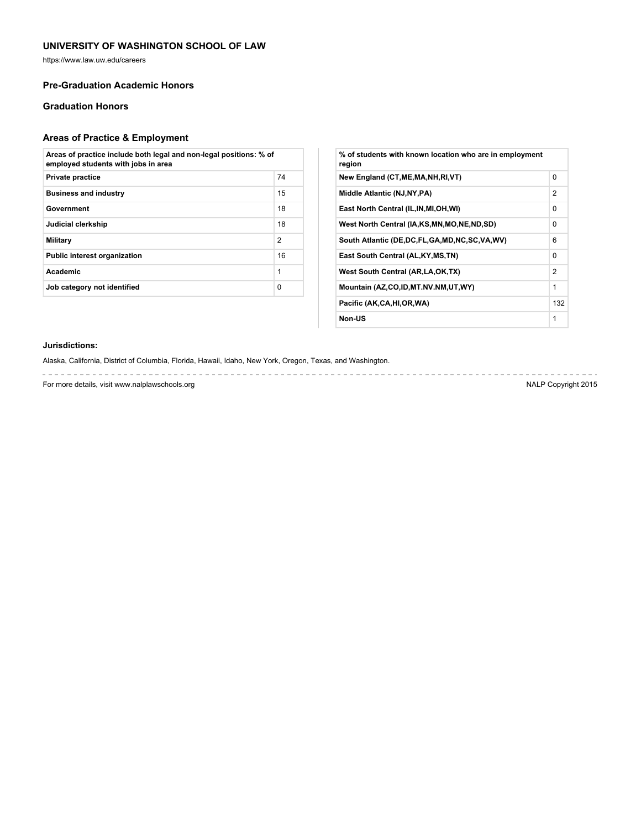https://www.law.uw.edu/careers

# **Pre-Graduation Academic Honors**

# **Graduation Honors**

# **Areas of Practice & Employment**

| Areas of practice include both legal and non-legal positions: % of<br>employed students with jobs in area |                |  |
|-----------------------------------------------------------------------------------------------------------|----------------|--|
| <b>Private practice</b>                                                                                   | 74             |  |
| <b>Business and industry</b>                                                                              | 15             |  |
| Government                                                                                                | 18             |  |
| Judicial clerkship                                                                                        | 18             |  |
| Military                                                                                                  | $\overline{2}$ |  |
| <b>Public interest organization</b>                                                                       | 16             |  |
| Academic                                                                                                  | 1              |  |
| Job category not identified                                                                               | 0              |  |

| % of students with known location who are in employment<br>region |                |
|-------------------------------------------------------------------|----------------|
| New England (CT, ME, MA, NH, RI, VT)                              | $\Omega$       |
| Middle Atlantic (NJ, NY, PA)                                      | $\overline{2}$ |
| East North Central (IL, IN, MI, OH, WI)                           | $\Omega$       |
| West North Central (IA,KS,MN,MO,NE,ND,SD)                         | 0              |
| South Atlantic (DE,DC,FL,GA,MD,NC,SC,VA,WV)                       | 6              |
| East South Central (AL, KY, MS, TN)                               | $\Omega$       |
| West South Central (AR, LA, OK, TX)                               | $\overline{2}$ |
| Mountain (AZ,CO,ID,MT.NV.NM,UT,WY)                                | 1              |
| Pacific (AK,CA,HI,OR,WA)                                          | 132            |
| Non-US                                                            | 1              |

## **Jurisdictions:**

Alaska, California, District of Columbia, Florida, Hawaii, Idaho, New York, Oregon, Texas, and Washington.

For more details, visit www.nalplawschools.org NALP Copyright 2015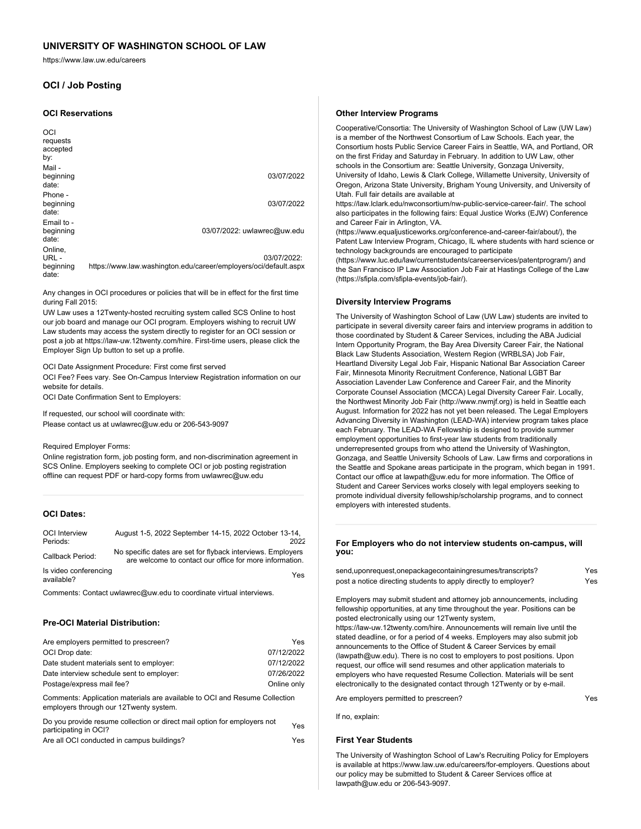https://www.law.uw.edu/careers

# **OCI / Job Posting**

#### **OCI Reservations**

| OCI<br>requests<br>accepted<br>by:    |                                                                                 |
|---------------------------------------|---------------------------------------------------------------------------------|
| Mail-<br>beginning<br>date:           | 03/07/2022                                                                      |
| Phone -<br>beginning<br>date:         | 03/07/2022                                                                      |
| Email to -<br>beginning<br>date:      | 03/07/2022: uwlawrec@uw.edu                                                     |
| Online.<br>URL-<br>beginning<br>date: | 03/07/2022:<br>https://www.law.washington.edu/career/employers/oci/default.aspx |

Any changes in OCI procedures or policies that will be in effect for the first time during Fall 2015:

UW Law uses a 12Twenty-hosted recruiting system called SCS Online to host our job board and manage our OCI program. Employers wishing to recruit UW Law students may access the system directly to register for an OCI session or post a job at https://law-uw.12twenty.com/hire. First-time users, please click the Employer Sign Up button to set up a profile.

OCI Date Assignment Procedure: First come first served

OCI Fee? Fees vary. See On-Campus Interview Registration information on our website for details.

OCI Date Confirmation Sent to Employers:

If requested, our school will coordinate with: Please contact us at uwlawrec@uw.edu or 206-543-9097

#### Required Employer Forms:

Online registration form, job posting form, and non-discrimination agreement in SCS Online. Employers seeking to complete OCI or job posting registration offline can request PDF or hard-copy forms from uwlawrec@uw.edu

# **OCI Dates:**

| <b>OCI</b> Interview                | August 1-5, 2022 September 14-15, 2022 October 13-14,                                                                  |
|-------------------------------------|------------------------------------------------------------------------------------------------------------------------|
| Periods:                            | 2022                                                                                                                   |
| Callback Period:                    | No specific dates are set for flyback interviews. Employers<br>are welcome to contact our office for more information. |
| Is video conferencing<br>available? | Yes                                                                                                                    |

Comments: Contact uwlawrec@uw.edu to coordinate virtual interviews.

# **Pre-OCI Material Distribution:**

| Are employers permitted to prescreen?                                      | Yes         |  |
|----------------------------------------------------------------------------|-------------|--|
| OCI Drop date:                                                             | 07/12/2022  |  |
| Date student materials sent to employer:                                   | 07/12/2022  |  |
| Date interview schedule sent to employer:                                  | 07/26/2022  |  |
| Postage/express mail fee?                                                  | Online only |  |
| Comments: Application materials are available to OCI and Resume Collection |             |  |

employers through our 12Twenty system.

| Do you provide resume collection or direct mail option for employers not | Yes |
|--------------------------------------------------------------------------|-----|
| participating in OCI?                                                    |     |
| Are all OCI conducted in campus buildings?                               | Yes |

#### **Other Interview Programs**

Cooperative/Consortia: The University of Washington School of Law (UW Law) is a member of the Northwest Consortium of Law Schools. Each year, the Consortium hosts Public Service Career Fairs in Seattle, WA, and Portland, OR on the first Friday and Saturday in February. In addition to UW Law, other schools in the Consortium are: Seattle University, Gonzaga University, University of Idaho, Lewis & Clark College, Willamette University, University of Oregon, Arizona State University, Brigham Young University, and University of Utah. Full fair details are available at

https://law.lclark.edu/nwconsortium/nw-public-service-career-fair/. The school also participates in the following fairs: Equal Justice Works (EJW) Conference and Career Fair in Arlington, VA.

(https://www.equaljusticeworks.org/conference-and-career-fair/about/), the Patent Law Interview Program, Chicago, IL where students with hard science or technology backgrounds are encouraged to participate

(https://www.luc.edu/law/currentstudents/careerservices/patentprogram/) and the San Francisco IP Law Association Job Fair at Hastings College of the Law (https://sfipla.com/sfipla-events/job-fair/).

#### **Diversity Interview Programs**

The University of Washington School of Law (UW Law) students are invited to participate in several diversity career fairs and interview programs in addition to those coordinated by Student & Career Services, including the ABA Judicial Intern Opportunity Program, the Bay Area Diversity Career Fair, the National Black Law Students Association, Western Region (WRBLSA) Job Fair, Heartland Diversity Legal Job Fair, Hispanic National Bar Association Career Fair, Minnesota Minority Recruitment Conference, National LGBT Bar Association Lavender Law Conference and Career Fair, and the Minority Corporate Counsel Association (MCCA) Legal Diversity Career Fair. Locally, the Northwest Minority Job Fair (http://www.nwmjf.org) is held in Seattle each August. Information for 2022 has not yet been released. The Legal Employers Advancing Diversity in Washington (LEAD-WA) interview program takes place each February. The LEAD-WA Fellowship is designed to provide summer employment opportunities to first-year law students from traditionally underrepresented groups from who attend the University of Washington, Gonzaga, and Seattle University Schools of Law. Law firms and corporations in the Seattle and Spokane areas participate in the program, which began in 1991. Contact our office at lawpath@uw.edu for more information. The Office of Student and Career Services works closely with legal employers seeking to promote individual diversity fellowship/scholarship programs, and to connect employers with interested students.

#### **For Employers who do not interview students on-campus, will you:**

send,uponrequest,onepackagecontainingresumes/transcripts? Yes post a notice directing students to apply directly to employer? Yes

Employers may submit student and attorney job announcements, including fellowship opportunities, at any time throughout the year. Positions can be posted electronically using our 12Twenty system,

https://law-uw.12twenty.com/hire. Announcements will remain live until the stated deadline, or for a period of 4 weeks. Employers may also submit job announcements to the Office of Student & Career Services by email (lawpath@uw.edu). There is no cost to employers to post positions. Upon request, our office will send resumes and other application materials to employers who have requested Resume Collection. Materials will be sent electronically to the designated contact through 12Twenty or by e-mail.

Are employers permitted to prescreen?

If no, explain:

## **First Year Students**

The University of Washington School of Law's Recruiting Policy for Employers is available at https://www.law.uw.edu/careers/for-employers. Questions about our policy may be submitted to Student & Career Services office at lawpath@uw.edu or 206-543-9097.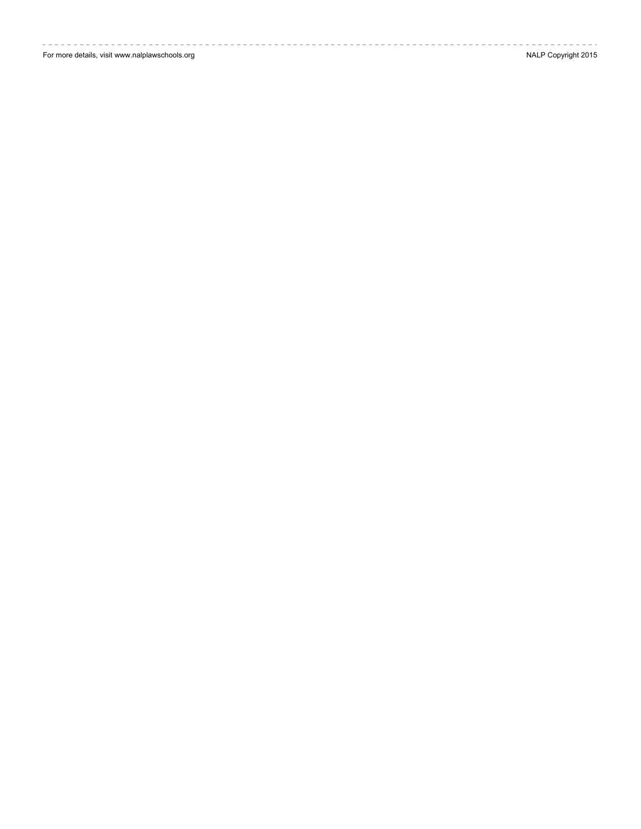-------------------For more details, visit www.nalplawschools.org **NALP Copyright 2015** 

 $\omega_{\rm{c}}$  and  $\omega_{\rm{c}}$ 

- - - - -

 $\sim$   $\sim$